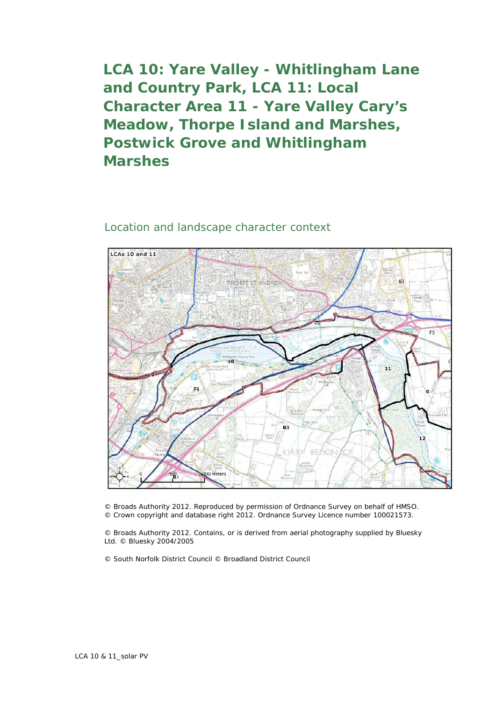**LCA 10: Yare Valley - Whitlingham Lane and Country Park, LCA 11: Local Character Area 11 - Yare Valley Cary's Meadow, Thorpe Island and Marshes, Postwick Grove and Whitlingham Marshes**

## Location and landscape character context



© Broads Authority 2012. Reproduced by permission of Ordnance Survey on behalf of HMSO. © Crown copyright and database right 2012. Ordnance Survey Licence number 100021573.

© Broads Authority 2012. Contains, or is derived from aerial photography supplied by Bluesky Ltd. © Bluesky 2004/2005

© South Norfolk District Council © Broadland District Council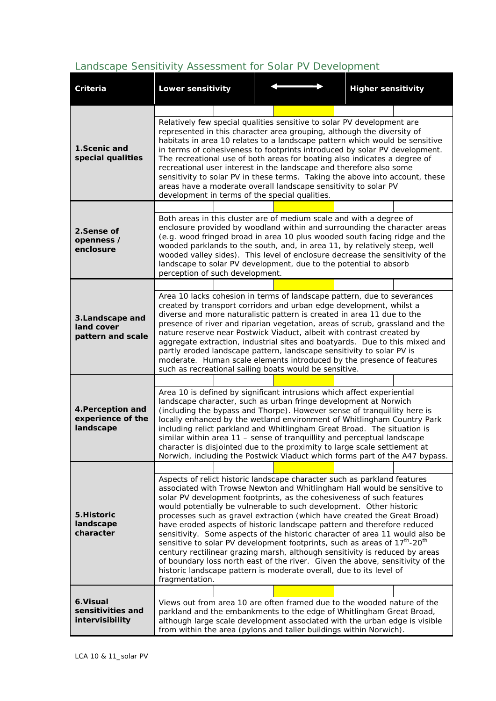## *Landscape Sensitivity Assessment for Solar PV Development*

| Criteria                                            | <b>Lower sensitivity</b>                                                                                                                                                                                                                                                                                                                                                                                                                                                                                                                                                                                                                                                                                                                                                                                                                                                                                  |  |  |  |  | <b>Higher sensitivity</b> |  |
|-----------------------------------------------------|-----------------------------------------------------------------------------------------------------------------------------------------------------------------------------------------------------------------------------------------------------------------------------------------------------------------------------------------------------------------------------------------------------------------------------------------------------------------------------------------------------------------------------------------------------------------------------------------------------------------------------------------------------------------------------------------------------------------------------------------------------------------------------------------------------------------------------------------------------------------------------------------------------------|--|--|--|--|---------------------------|--|
|                                                     |                                                                                                                                                                                                                                                                                                                                                                                                                                                                                                                                                                                                                                                                                                                                                                                                                                                                                                           |  |  |  |  |                           |  |
| 1.Scenic and<br>special qualities                   | Relatively few special qualities sensitive to solar PV development are<br>represented in this character area grouping, although the diversity of<br>habitats in area 10 relates to a landscape pattern which would be sensitive<br>in terms of cohesiveness to footprints introduced by solar PV development.<br>The recreational use of both areas for boating also indicates a degree of<br>recreational user interest in the landscape and therefore also some<br>sensitivity to solar PV in these terms. Taking the above into account, these<br>areas have a moderate overall landscape sensitivity to solar PV<br>development in terms of the special qualities.                                                                                                                                                                                                                                    |  |  |  |  |                           |  |
|                                                     |                                                                                                                                                                                                                                                                                                                                                                                                                                                                                                                                                                                                                                                                                                                                                                                                                                                                                                           |  |  |  |  |                           |  |
| 2.Sense of<br>openness /<br>enclosure               | Both areas in this cluster are of medium scale and with a degree of<br>enclosure provided by woodland within and surrounding the character areas<br>(e.g. wood fringed broad in area 10 plus wooded south facing ridge and the<br>wooded parklands to the south, and, in area 11, by relatively steep, well<br>wooded valley sides). This level of enclosure decrease the sensitivity of the<br>landscape to solar PV development, due to the potential to absorb<br>perception of such development.                                                                                                                                                                                                                                                                                                                                                                                                      |  |  |  |  |                           |  |
|                                                     |                                                                                                                                                                                                                                                                                                                                                                                                                                                                                                                                                                                                                                                                                                                                                                                                                                                                                                           |  |  |  |  |                           |  |
| 3. Landscape and<br>land cover<br>pattern and scale | Area 10 lacks cohesion in terms of landscape pattern, due to severances<br>created by transport corridors and urban edge development, whilst a<br>diverse and more naturalistic pattern is created in area 11 due to the<br>presence of river and riparian vegetation, areas of scrub, grassland and the<br>nature reserve near Postwick Viaduct, albeit with contrast created by<br>aggregate extraction, industrial sites and boatyards. Due to this mixed and<br>partly eroded landscape pattern, landscape sensitivity to solar PV is<br>moderate. Human scale elements introduced by the presence of features<br>such as recreational sailing boats would be sensitive.                                                                                                                                                                                                                              |  |  |  |  |                           |  |
|                                                     |                                                                                                                                                                                                                                                                                                                                                                                                                                                                                                                                                                                                                                                                                                                                                                                                                                                                                                           |  |  |  |  |                           |  |
| 4. Perception and<br>experience of the<br>landscape | Area 10 is defined by significant intrusions which affect experiential<br>landscape character, such as urban fringe development at Norwich<br>(including the bypass and Thorpe). However sense of tranquillity here is<br>locally enhanced by the wetland environment of Whitlingham Country Park<br>including relict parkland and Whitlingham Great Broad. The situation is<br>similar within area 11 - sense of tranguillity and perceptual landscape<br>character is disjointed due to the proximity to large scale settlement at<br>Norwich, including the Postwick Viaduct which forms part of the A47 bypass.                                                                                                                                                                                                                                                                                       |  |  |  |  |                           |  |
|                                                     |                                                                                                                                                                                                                                                                                                                                                                                                                                                                                                                                                                                                                                                                                                                                                                                                                                                                                                           |  |  |  |  |                           |  |
| 5. Historic<br>landscape<br>character               | Aspects of relict historic landscape character such as parkland features<br>associated with Trowse Newton and Whitlingham Hall would be sensitive to<br>solar PV development footprints, as the cohesiveness of such features<br>would potentially be vulnerable to such development. Other historic<br>processes such as gravel extraction (which have created the Great Broad)<br>have eroded aspects of historic landscape pattern and therefore reduced<br>sensitivity. Some aspects of the historic character of area 11 would also be<br>sensitive to solar PV development footprints, such as areas of 17 <sup>th</sup> -20 <sup>th</sup><br>century rectilinear grazing marsh, although sensitivity is reduced by areas<br>of boundary loss north east of the river. Given the above, sensitivity of the<br>historic landscape pattern is moderate overall, due to its level of<br>fragmentation. |  |  |  |  |                           |  |
|                                                     |                                                                                                                                                                                                                                                                                                                                                                                                                                                                                                                                                                                                                                                                                                                                                                                                                                                                                                           |  |  |  |  |                           |  |
| 6.Visual<br>sensitivities and<br>intervisibility    | Views out from area 10 are often framed due to the wooded nature of the<br>parkland and the embankments to the edge of Whitlingham Great Broad,<br>although large scale development associated with the urban edge is visible<br>from within the area (pylons and taller buildings within Norwich).                                                                                                                                                                                                                                                                                                                                                                                                                                                                                                                                                                                                       |  |  |  |  |                           |  |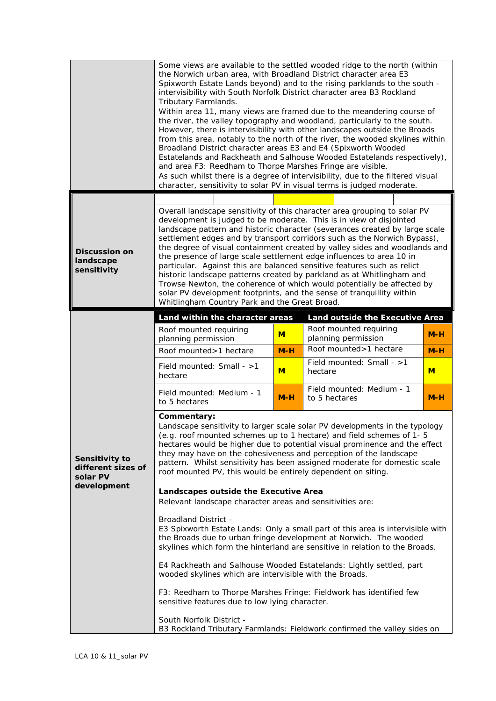|                                                                 | Some views are available to the settled wooded ridge to the north (within<br>the Norwich urban area, with Broadland District character area E3<br>Spixworth Estate Lands beyond) and to the rising parklands to the south -<br>intervisibility with South Norfolk District character area B3 Rockland<br>Tributary Farmlands.<br>Within area 11, many views are framed due to the meandering course of<br>the river, the valley topography and woodland, particularly to the south.<br>However, there is intervisibility with other landscapes outside the Broads<br>from this area, notably to the north of the river, the wooded skylines within<br>Broadland District character areas E3 and E4 (Spixworth Wooded<br>Estatelands and Rackheath and Salhouse Wooded Estatelands respectively),<br>and area F3: Reedham to Thorpe Marshes Fringe are visible.<br>As such whilst there is a degree of intervisibility, due to the filtered visual<br>character, sensitivity to solar PV in visual terms is judged moderate.                                                                      |       |                                               |       |  |  |
|-----------------------------------------------------------------|--------------------------------------------------------------------------------------------------------------------------------------------------------------------------------------------------------------------------------------------------------------------------------------------------------------------------------------------------------------------------------------------------------------------------------------------------------------------------------------------------------------------------------------------------------------------------------------------------------------------------------------------------------------------------------------------------------------------------------------------------------------------------------------------------------------------------------------------------------------------------------------------------------------------------------------------------------------------------------------------------------------------------------------------------------------------------------------------------|-------|-----------------------------------------------|-------|--|--|
|                                                                 |                                                                                                                                                                                                                                                                                                                                                                                                                                                                                                                                                                                                                                                                                                                                                                                                                                                                                                                                                                                                                                                                                                  |       |                                               |       |  |  |
| <b>Discussion on</b><br>landscape<br>sensitivity                | Overall landscape sensitivity of this character area grouping to solar PV<br>development is judged to be moderate. This is in view of disjointed<br>landscape pattern and historic character (severances created by large scale<br>settlement edges and by transport corridors such as the Norwich Bypass),<br>the degree of visual containment created by valley sides and woodlands and<br>the presence of large scale settlement edge influences to area 10 in<br>particular. Against this are balanced sensitive features such as relict<br>historic landscape patterns created by parkland as at Whitlingham and<br>Trowse Newton, the coherence of which would potentially be affected by<br>solar PV development footprints, and the sense of tranquillity within<br>Whitlingham Country Park and the Great Broad.                                                                                                                                                                                                                                                                        |       |                                               |       |  |  |
|                                                                 | Land within the character areas                                                                                                                                                                                                                                                                                                                                                                                                                                                                                                                                                                                                                                                                                                                                                                                                                                                                                                                                                                                                                                                                  |       | Land outside the Executive Area               |       |  |  |
|                                                                 | Roof mounted requiring<br>planning permission                                                                                                                                                                                                                                                                                                                                                                                                                                                                                                                                                                                                                                                                                                                                                                                                                                                                                                                                                                                                                                                    | M     | Roof mounted requiring<br>planning permission | $M-H$ |  |  |
|                                                                 | Roof mounted>1 hectare                                                                                                                                                                                                                                                                                                                                                                                                                                                                                                                                                                                                                                                                                                                                                                                                                                                                                                                                                                                                                                                                           | $M-H$ | Roof mounted>1 hectare                        | $M-H$ |  |  |
|                                                                 | Field mounted: Small - >1<br>hectare                                                                                                                                                                                                                                                                                                                                                                                                                                                                                                                                                                                                                                                                                                                                                                                                                                                                                                                                                                                                                                                             | M     | Field mounted: Small - >1<br>hectare          | M     |  |  |
|                                                                 | Field mounted: Medium - 1<br>to 5 hectares                                                                                                                                                                                                                                                                                                                                                                                                                                                                                                                                                                                                                                                                                                                                                                                                                                                                                                                                                                                                                                                       | $M-H$ | Field mounted: Medium - 1<br>to 5 hectares    | $M-H$ |  |  |
| Sensitivity to<br>different sizes of<br>solar PV<br>development | Commentary:<br>Landscape sensitivity to larger scale solar PV developments in the typology<br>(e.g. roof mounted schemes up to 1 hectare) and field schemes of 1-5<br>hectares would be higher due to potential visual prominence and the effect<br>they may have on the cohesiveness and perception of the landscape<br>pattern. Whilst sensitivity has been assigned moderate for domestic scale<br>roof mounted PV, this would be entirely dependent on siting.<br>Landscapes outside the Executive Area<br>Relevant landscape character areas and sensitivities are:<br>Broadland District -<br>E3 Spixworth Estate Lands: Only a small part of this area is intervisible with<br>the Broads due to urban fringe development at Norwich. The wooded<br>skylines which form the hinterland are sensitive in relation to the Broads.<br>E4 Rackheath and Salhouse Wooded Estatelands: Lightly settled, part<br>wooded skylines which are intervisible with the Broads.<br>F3: Reedham to Thorpe Marshes Fringe: Fieldwork has identified few<br>sensitive features due to low lying character. |       |                                               |       |  |  |
|                                                                 | South Norfolk District -<br>B3 Rockland Tributary Farmlands: Fieldwork confirmed the valley sides on                                                                                                                                                                                                                                                                                                                                                                                                                                                                                                                                                                                                                                                                                                                                                                                                                                                                                                                                                                                             |       |                                               |       |  |  |